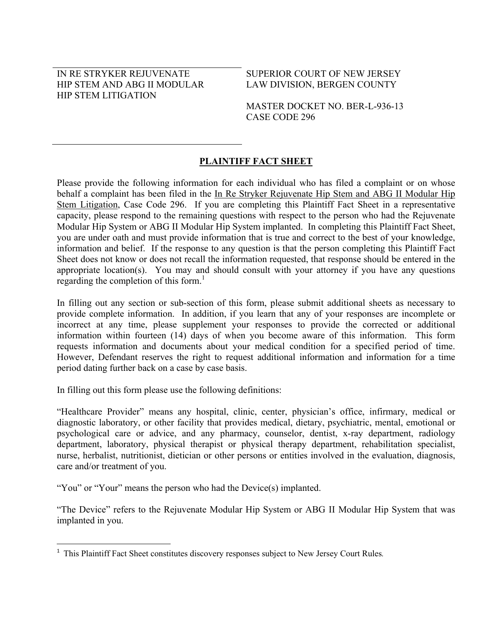### IN RE STRYKER REJUVENATE HIP STEM AND ABG II MODULAR HIP STEM LITIGATION

### SUPERIOR COURT OF NEW JERSEY LAW DIVISION, BERGEN COUNTY

MASTER DOCKET NO. BER-L-936-13 CASE CODE 296

# **PLAINTIFF FACT SHEET**

Please provide the following information for each individual who has filed a complaint or on whose behalf a complaint has been filed in the In Re Stryker Rejuvenate Hip Stem and ABG II Modular Hip Stem Litigation, Case Code 296. If you are completing this Plaintiff Fact Sheet in a representative capacity, please respond to the remaining questions with respect to the person who had the Rejuvenate Modular Hip System or ABG II Modular Hip System implanted. In completing this Plaintiff Fact Sheet, you are under oath and must provide information that is true and correct to the best of your knowledge, information and belief. If the response to any question is that the person completing this Plaintiff Fact Sheet does not know or does not recall the information requested, that response should be entered in the appropriate location(s). You may and should consult with your attorney if you have any questions regarding the completion of this form. $<sup>1</sup>$ </sup>

In filling out any section or sub-section of this form, please submit additional sheets as necessary to provide complete information. In addition, if you learn that any of your responses are incomplete or incorrect at any time, please supplement your responses to provide the corrected or additional information within fourteen (14) days of when you become aware of this information. This form requests information and documents about your medical condition for a specified period of time. However, Defendant reserves the right to request additional information and information for a time period dating further back on a case by case basis.

In filling out this form please use the following definitions:

"Healthcare Provider" means any hospital, clinic, center, physician's office, infirmary, medical or diagnostic laboratory, or other facility that provides medical, dietary, psychiatric, mental, emotional or psychological care or advice, and any pharmacy, counselor, dentist, x-ray department, radiology department, laboratory, physical therapist or physical therapy department, rehabilitation specialist, nurse, herbalist, nutritionist, dietician or other persons or entities involved in the evaluation, diagnosis, care and/or treatment of you.

"You" or "Your" means the person who had the Device(s) implanted.

 $\overline{\phantom{a}}$ 

"The Device" refers to the Rejuvenate Modular Hip System or ABG II Modular Hip System that was implanted in you.

<sup>1</sup> This Plaintiff Fact Sheet constitutes discovery responses subject to New Jersey Court Rules*.*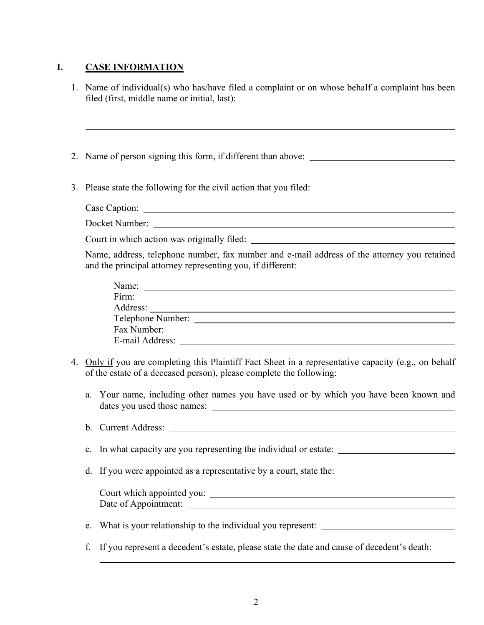# **I. CASE INFORMATION**

l

- 1. Name of individual(s) who has/have filed a complaint or on whose behalf a complaint has been filed (first, middle name or initial, last):
- 2. Name of person signing this form, if different than above:
- 3. Please state the following for the civil action that you filed:
	- Case Caption: Docket Number:

Court in which action was originally filed:

Name, address, telephone number, fax number and e-mail address of the attorney you retained and the principal attorney representing you, if different:

| Name:             |  |
|-------------------|--|
| Firm:             |  |
| Address:          |  |
| Telephone Number: |  |
| Fax Number:       |  |
| E-mail Address:   |  |

- 4. Only if you are completing this Plaintiff Fact Sheet in a representative capacity (e.g., on behalf of the estate of a deceased person), please complete the following:
	- a. Your name, including other names you have used or by which you have been known and dates you used those names:
	- b. Current Address:
	- c. In what capacity are you representing the individual or estate:
	- d. If you were appointed as a representative by a court, state the:

 Court which appointed you: Date of Appointment:

- e. What is your relationship to the individual you represent:
- f. If you represent a decedent's estate, please state the date and cause of decedent's death: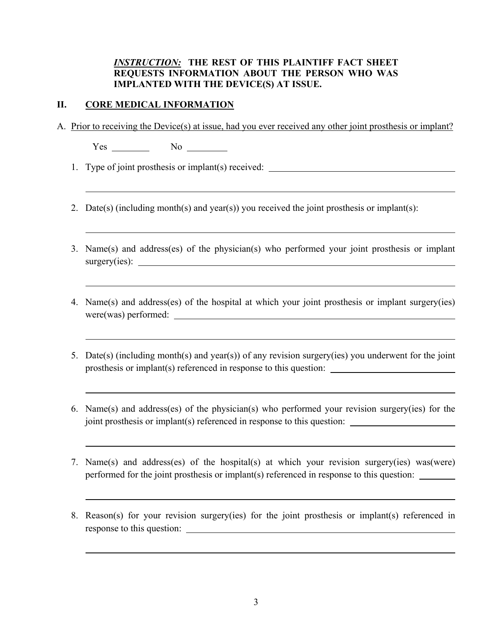## *INSTRUCTION:* **THE REST OF THIS PLAINTIFF FACT SHEET REQUESTS INFORMATION ABOUT THE PERSON WHO WAS IMPLANTED WITH THE DEVICE(S) AT ISSUE.**

### **II. CORE MEDICAL INFORMATION**

A. Prior to receiving the Device(s) at issue, had you ever received any other joint prosthesis or implant?

Yes No

1. Type of joint prosthesis or implant(s) received:

- 2. Date(s) (including month(s) and year(s)) you received the joint prosthesis or implant(s):
- 3. Name(s) and address(es) of the physician(s) who performed your joint prosthesis or implant surgery(ies):
- 4. Name(s) and address(es) of the hospital at which your joint prosthesis or implant surgery(ies) were(was) performed:
- 5. Date(s) (including month(s) and year(s)) of any revision surgery(ies) you underwent for the joint prosthesis or implant(s) referenced in response to this question:
- 6. Name(s) and address(es) of the physician(s) who performed your revision surgery(ies) for the joint prosthesis or implant(s) referenced in response to this question:
- 7. Name(s) and address(es) of the hospital(s) at which your revision surgery(ies) was(were) performed for the joint prosthesis or implant(s) referenced in response to this question:
- 8. Reason(s) for your revision surgery(ies) for the joint prosthesis or implant(s) referenced in response to this question: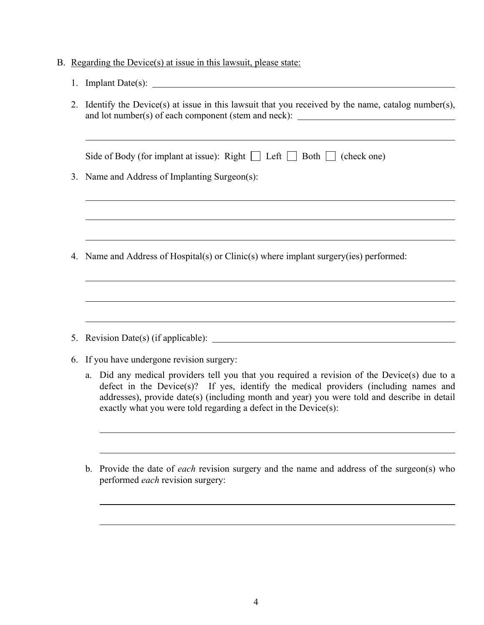- B. Regarding the Device(s) at issue in this lawsuit, please state:
	- 1. Implant Date(s):
	- 2. Identify the Device(s) at issue in this lawsuit that you received by the name, catalog number(s), and lot number(s) of each component (stem and neck):

| Side of Body (for implant at issue): Right $\Box$ Left $\Box$ Both $\Box$ (check one)                                                                                                                                                                                               |
|-------------------------------------------------------------------------------------------------------------------------------------------------------------------------------------------------------------------------------------------------------------------------------------|
| 3. Name and Address of Implanting Surgeon(s):                                                                                                                                                                                                                                       |
|                                                                                                                                                                                                                                                                                     |
|                                                                                                                                                                                                                                                                                     |
|                                                                                                                                                                                                                                                                                     |
| 4. Name and Address of Hospital(s) or Clinic(s) where implant surgery(ies) performed:                                                                                                                                                                                               |
|                                                                                                                                                                                                                                                                                     |
|                                                                                                                                                                                                                                                                                     |
|                                                                                                                                                                                                                                                                                     |
|                                                                                                                                                                                                                                                                                     |
|                                                                                                                                                                                                                                                                                     |
| 6. If you have undergone revision surgery:                                                                                                                                                                                                                                          |
| a. Did any medical providers tell you that you required a revision of the Device(s) due to a<br>defect in the Device(s)? If yes, identify the medical providers (including names and<br>addresses), provide date(s) (including month and year) you were told and describe in detail |

b. Provide the date of *each* revision surgery and the name and address of the surgeon(s) who performed *each* revision surgery:

exactly what you were told regarding a defect in the Device(s):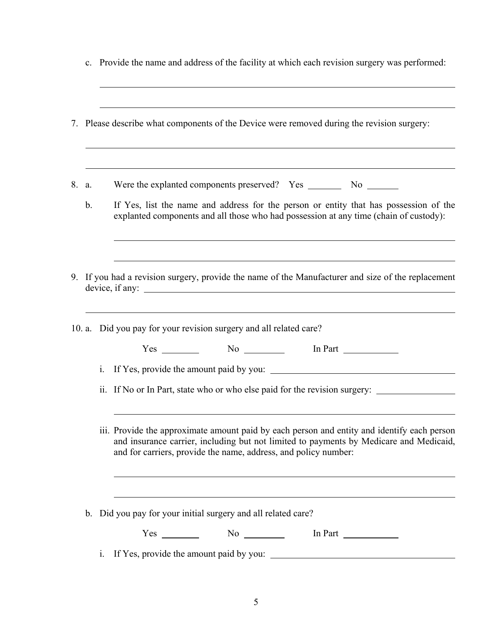|       |               |                |                                                                    | 7. Please describe what components of the Device were removed during the revision surgery:                                                                                            |
|-------|---------------|----------------|--------------------------------------------------------------------|---------------------------------------------------------------------------------------------------------------------------------------------------------------------------------------|
| 8. a. |               |                |                                                                    |                                                                                                                                                                                       |
|       | $\mathbf b$ . |                |                                                                    | If Yes, list the name and address for the person or entity that has possession of the<br>explanted components and all those who had possession at any time (chain of custody):        |
|       |               |                | device, if any:                                                    | 9. If you had a revision surgery, provide the name of the Manufacturer and size of the replacement                                                                                    |
|       |               |                | 10. a. Did you pay for your revision surgery and all related care? |                                                                                                                                                                                       |
|       |               |                | $Yes \_\_\_\_\_\$ No $\_\_\_\_\_\$ In Part $\_\_\_\_\_\_\_\_\_\_\$ |                                                                                                                                                                                       |
|       |               | i.             |                                                                    | If Yes, provide the amount paid by you:<br>ii. If No or In Part, state who or who else paid for the revision surgery:                                                                 |
|       |               |                | and for carriers, provide the name, address, and policy number:    | iii. Provide the approximate amount paid by each person and entity and identify each person<br>and insurance carrier, including but not limited to payments by Medicare and Medicaid, |
|       |               |                | b. Did you pay for your initial surgery and all related care?      |                                                                                                                                                                                       |
|       |               |                | $Yes \t\t No \t\t No$                                              | In Part $\frac{1}{\sqrt{1-\frac{1}{2}}\cdot\frac{1}{\sqrt{1-\frac{1}{2}}}}$                                                                                                           |
|       |               | $\mathbf{i}$ . |                                                                    | If Yes, provide the amount paid by you:                                                                                                                                               |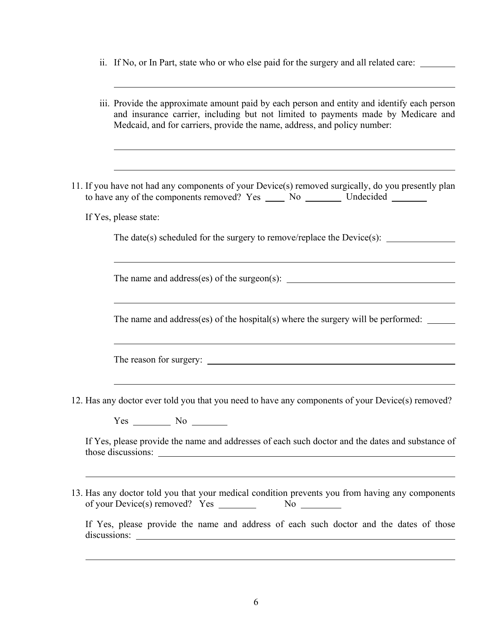ii. If No, or In Part, state who or who else paid for the surgery and all related care:

| iii. Provide the approximate amount paid by each person and entity and identify each person<br>and insurance carrier, including but not limited to payments made by Medicare and<br>Medcaid, and for carriers, provide the name, address, and policy number:                                                                                              |
|-----------------------------------------------------------------------------------------------------------------------------------------------------------------------------------------------------------------------------------------------------------------------------------------------------------------------------------------------------------|
| 11. If you have not had any components of your Device(s) removed surgically, do you presently plan<br>to have any of the components removed? Yes _______ No ____________ Undecided _________<br>If Yes, please state:                                                                                                                                     |
| The date(s) scheduled for the surgery to remove/replace the Device(s): $\qquad \qquad$                                                                                                                                                                                                                                                                    |
| The name and address(es) of the hospital(s) where the surgery will be performed: $\frac{1}{\sqrt{1-\frac{1}{\sqrt{1-\frac{1}{\sqrt{1-\frac{1}{\sqrt{1-\frac{1}{\sqrt{1-\frac{1}{\sqrt{1-\frac{1}{\sqrt{1-\frac{1}{\sqrt{1-\frac{1}{\sqrt{1-\frac{1}{\sqrt{1-\frac{1}{\sqrt{1-\frac{1}{\sqrt{1-\frac{1}{\sqrt{1-\frac{1}{\sqrt{1-\frac{1}{\sqrt{1-\frac{1$ |
| <u> 1989 - Andrea Santana, amerikana amerikana amerikana amerikana amerikana amerikana amerikana amerikana amerik</u>                                                                                                                                                                                                                                     |
| 12. Has any doctor ever told you that you need to have any components of your Device(s) removed?<br>$Yes$ No $\_\_\_\_\_\$                                                                                                                                                                                                                                |
| If Yes, please provide the name and addresses of each such doctor and the dates and substance of<br>,我们也不会有什么。""我们的人,我们也不会有什么?""我们的人,我们也不会有什么?""我们的人,我们也不会有什么?""我们的人,我们也不会有什么?""我们的人                                                                                                                                                                      |
| 13. Has any doctor told you that your medical condition prevents you from having any components<br>If Yes, please provide the name and address of each such doctor and the dates of those                                                                                                                                                                 |
|                                                                                                                                                                                                                                                                                                                                                           |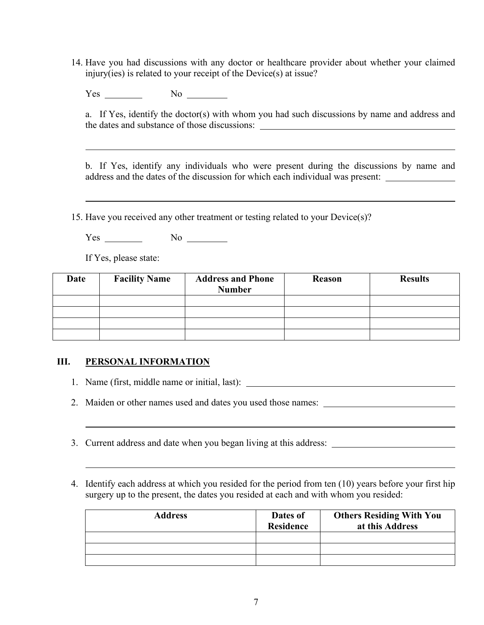14. Have you had discussions with any doctor or healthcare provider about whether your claimed injury(ies) is related to your receipt of the Device(s) at issue?

 $Yes$  No  $\_\_\_\_\_\_\_\$ 

a. If Yes, identify the doctor(s) with whom you had such discussions by name and address and the dates and substance of those discussions:

b. If Yes, identify any individuals who were present during the discussions by name and address and the dates of the discussion for which each individual was present:

15. Have you received any other treatment or testing related to your Device(s)?

Yes No

If Yes, please state:

 $\overline{a}$ 

 $\overline{a}$ 

 $\overline{a}$ 

 $\overline{a}$ 

| Date | <b>Facility Name</b> | <b>Address and Phone</b><br><b>Number</b> | <b>Reason</b> | <b>Results</b> |
|------|----------------------|-------------------------------------------|---------------|----------------|
|      |                      |                                           |               |                |
|      |                      |                                           |               |                |
|      |                      |                                           |               |                |
|      |                      |                                           |               |                |

#### **III. PERSONAL INFORMATION**

- 1. Name (first, middle name or initial, last):
- 2. Maiden or other names used and dates you used those names:
- 3. Current address and date when you began living at this address:
- 4. Identify each address at which you resided for the period from ten (10) years before your first hip surgery up to the present, the dates you resided at each and with whom you resided:

| <b>Address</b> | Dates of<br><b>Residence</b> | <b>Others Residing With You</b><br>at this Address |
|----------------|------------------------------|----------------------------------------------------|
|                |                              |                                                    |
|                |                              |                                                    |
|                |                              |                                                    |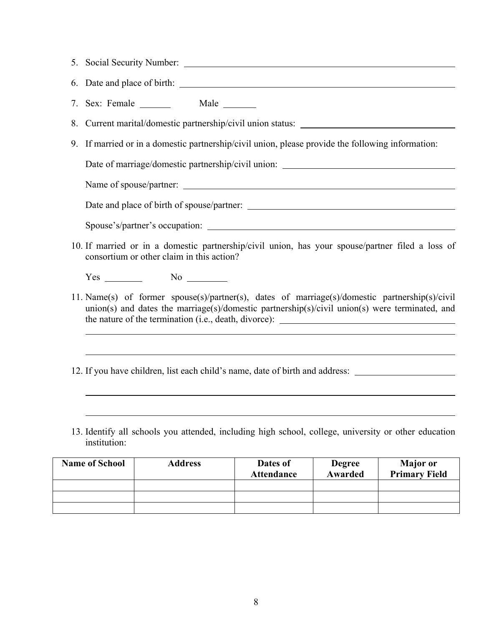- 5. Social Security Number: 6. Date and place of birth: 7. Sex: Female Male 8. Current marital/domestic partnership/civil union status:
- 9. If married or in a domestic partnership/civil union, please provide the following information:

Date of marriage/domestic partnership/civil union:

Name of spouse/partner:

l

 $\overline{a}$ 

 $\overline{a}$ 

Date and place of birth of spouse/partner:

Spouse's/partner's occupation:

10. If married or in a domestic partnership/civil union, has your spouse/partner filed a loss of consortium or other claim in this action?

 $Yes \t No \t No \t A$ 

11. Name(s) of former spouse(s)/partner(s), dates of marriage(s)/domestic partnership(s)/civil union(s) and dates the marriage(s)/domestic partnership(s)/civil union(s) were terminated, and the nature of the termination (i.e., death, divorce):

12. If you have children, list each child's name, date of birth and address:

13. Identify all schools you attended, including high school, college, university or other education institution:

| <b>Name of School</b> | <b>Address</b> | Dates of<br><b>Attendance</b> | <b>Degree</b><br>Awarded | <b>Major</b> or<br><b>Primary Field</b> |
|-----------------------|----------------|-------------------------------|--------------------------|-----------------------------------------|
|                       |                |                               |                          |                                         |
|                       |                |                               |                          |                                         |
|                       |                |                               |                          |                                         |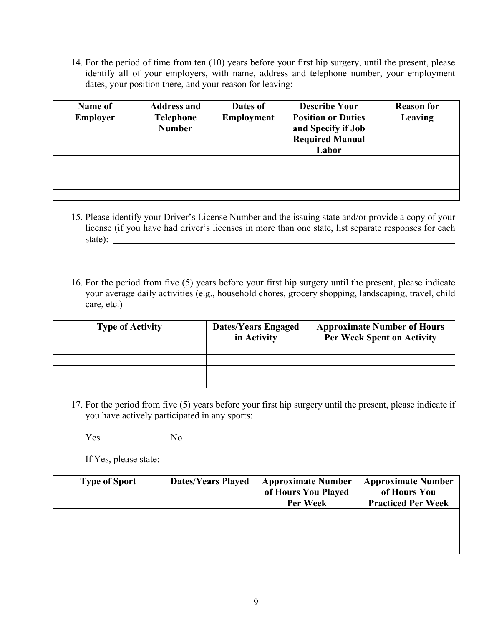14. For the period of time from ten (10) years before your first hip surgery, until the present, please identify all of your employers, with name, address and telephone number, your employment dates, your position there, and your reason for leaving:

| Name of<br><b>Employer</b> | <b>Address and</b><br>Telephone<br><b>Number</b> | Dates of<br><b>Employment</b> | <b>Describe Your</b><br><b>Position or Duties</b><br>and Specify if Job<br><b>Required Manual</b><br>Labor | <b>Reason for</b><br>Leaving |
|----------------------------|--------------------------------------------------|-------------------------------|------------------------------------------------------------------------------------------------------------|------------------------------|
|                            |                                                  |                               |                                                                                                            |                              |
|                            |                                                  |                               |                                                                                                            |                              |
|                            |                                                  |                               |                                                                                                            |                              |
|                            |                                                  |                               |                                                                                                            |                              |

- 15. Please identify your Driver's License Number and the issuing state and/or provide a copy of your license (if you have had driver's licenses in more than one state, list separate responses for each state):
- 16. For the period from five (5) years before your first hip surgery until the present, please indicate your average daily activities (e.g., household chores, grocery shopping, landscaping, travel, child care, etc.)

| <b>Type of Activity</b> | <b>Dates/Years Engaged</b><br>in Activity | <b>Approximate Number of Hours</b><br><b>Per Week Spent on Activity</b> |
|-------------------------|-------------------------------------------|-------------------------------------------------------------------------|
|                         |                                           |                                                                         |
|                         |                                           |                                                                         |
|                         |                                           |                                                                         |
|                         |                                           |                                                                         |

17. For the period from five (5) years before your first hip surgery until the present, please indicate if you have actively participated in any sports:

Yes No

If Yes, please state:

 $\overline{a}$ 

| <b>Type of Sport</b> | <b>Dates/Years Played</b> | <b>Approximate Number</b><br>of Hours You Played<br>Per Week | <b>Approximate Number</b><br>of Hours You<br><b>Practiced Per Week</b> |
|----------------------|---------------------------|--------------------------------------------------------------|------------------------------------------------------------------------|
|                      |                           |                                                              |                                                                        |
|                      |                           |                                                              |                                                                        |
|                      |                           |                                                              |                                                                        |
|                      |                           |                                                              |                                                                        |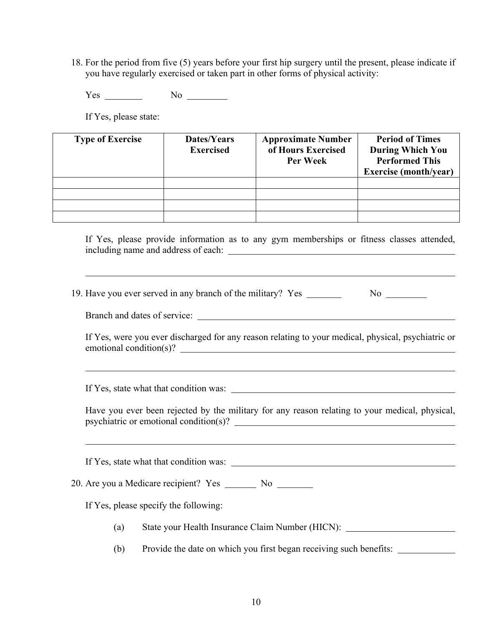18. For the period from five (5) years before your first hip surgery until the present, please indicate if you have regularly exercised or taken part in other forms of physical activity:

Yes No No No

If Yes, please state:

| <b>Type of Exercise</b> | Dates/Years<br><b>Exercised</b> | <b>Approximate Number</b><br>of Hours Exercised<br><b>Per Week</b> | <b>Period of Times</b><br><b>During Which You</b><br><b>Performed This</b><br><b>Exercise</b> (month/year) |
|-------------------------|---------------------------------|--------------------------------------------------------------------|------------------------------------------------------------------------------------------------------------|
|                         |                                 |                                                                    |                                                                                                            |
|                         |                                 |                                                                    |                                                                                                            |
|                         |                                 |                                                                    |                                                                                                            |
|                         |                                 |                                                                    |                                                                                                            |

If Yes, please provide information as to any gym memberships or fitness classes attended, including name and address of each:

19. Have you ever served in any branch of the military? Yes \_\_\_\_\_\_\_\_\_\_\_\_\_\_\_\_\_\_\_\_\_

Branch and dates of service:

 $\overline{a}$ 

 $\overline{a}$ 

 $\overline{a}$ 

If Yes, were you ever discharged for any reason relating to your medical, physical, psychiatric or emotional condition(s)?

If Yes, state what that condition was:

Have you ever been rejected by the military for any reason relating to your medical, physical, psychiatric or emotional condition(s)?

If Yes, state what that condition was:

20. Are you a Medicare recipient? Yes \_\_\_\_\_\_\_ No \_\_\_\_\_\_\_

If Yes, please specify the following:

- (a) State your Health Insurance Claim Number (HICN):
- (b) Provide the date on which you first began receiving such benefits: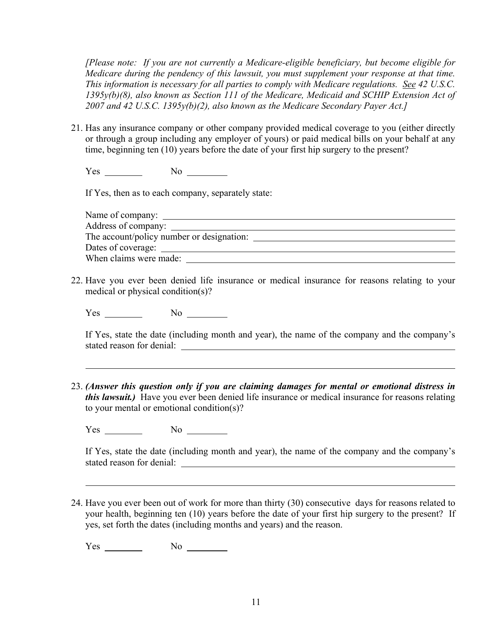*[Please note: If you are not currently a Medicare-eligible beneficiary, but become eligible for Medicare during the pendency of this lawsuit, you must supplement your response at that time. This information is necessary for all parties to comply with Medicare regulations. See 42 U.S.C. 1395y(b)(8), also known as Section 111 of the Medicare, Medicaid and SCHIP Extension Act of 2007 and 42 U.S.C. 1395y(b)(2), also known as the Medicare Secondary Payer Act.]* 

21. Has any insurance company or other company provided medical coverage to you (either directly or through a group including any employer of yours) or paid medical bills on your behalf at any time, beginning ten (10) years before the date of your first hip surgery to the present?

 $Yes \_$  No  $\_$ 

If Yes, then as to each company, separately state:

| Address of company:                       |  |
|-------------------------------------------|--|
| The account/policy number or designation: |  |
|                                           |  |
| When claims were made:                    |  |

22. Have you ever been denied life insurance or medical insurance for reasons relating to your medical or physical condition(s)?

Yes No

 $\overline{a}$ 

If Yes, state the date (including month and year), the name of the company and the company's stated reason for denial:

23. *(Answer this question only if you are claiming damages for mental or emotional distress in this lawsuit.)* Have you ever been denied life insurance or medical insurance for reasons relating to your mental or emotional condition(s)?

Yes No

If Yes, state the date (including month and year), the name of the company and the company's stated reason for denial:

24. Have you ever been out of work for more than thirty (30) consecutive days for reasons related to your health, beginning ten (10) years before the date of your first hip surgery to the present? If yes, set forth the dates (including months and years) and the reason.

Yes No No No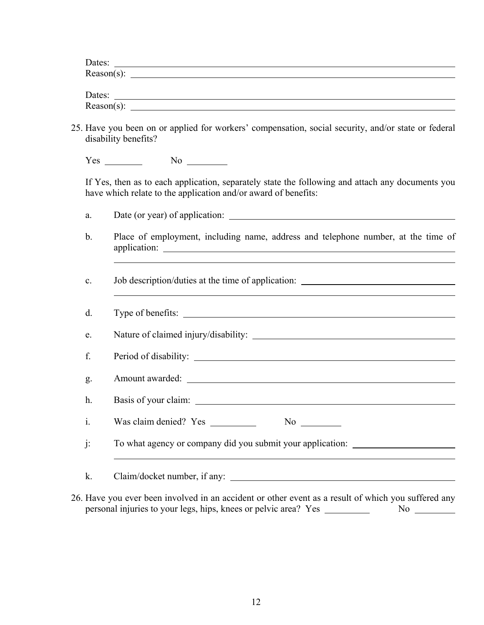| Dates:        |  |  |  |
|---------------|--|--|--|
| $Reason(s)$ : |  |  |  |
|               |  |  |  |
| Dates:        |  |  |  |

| ------        |  |  |
|---------------|--|--|
|               |  |  |
| $Reason(s)$ : |  |  |
|               |  |  |

25. Have you been on or applied for workers' compensation, social security, and/or state or federal disability benefits?

Yes No

If Yes, then as to each application, separately state the following and attach any documents you have which relate to the application and/or award of benefits:

- a. Date (or year) of application:
- b. Place of employment, including name, address and telephone number, at the time of application:
- c. Job description/duties at the time of application:

| $d$ .          |                                                            |
|----------------|------------------------------------------------------------|
| e.             |                                                            |
| f.             |                                                            |
| g.             | Amount awarded:                                            |
| h <sub>1</sub> |                                                            |
| $\mathbf{i}$ . | Was claim denied? Yes<br>$No \_$                           |
| $\mathbf{j}$ : | To what agency or company did you submit your application: |
| k.             | Claim/docket number, if any:                               |

26. Have you ever been involved in an accident or other event as a result of which you suffered any personal injuries to your legs, hips, knees or pelvic area? Yes No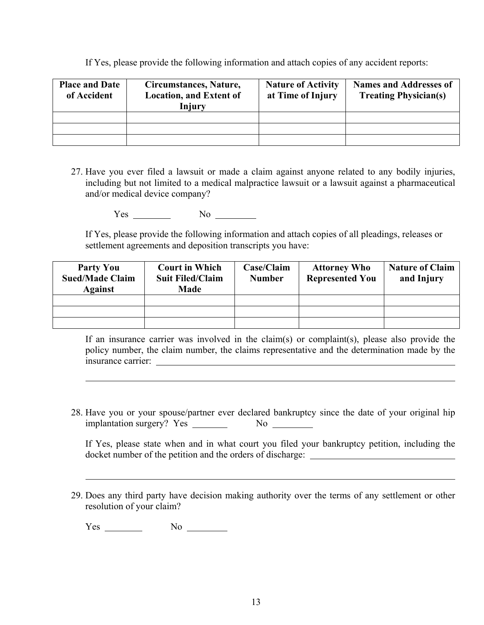If Yes, please provide the following information and attach copies of any accident reports:

| <b>Place and Date</b><br>of Accident | Circumstances, Nature,<br><b>Location, and Extent of</b><br>Injury | <b>Nature of Activity</b><br>at Time of Injury | <b>Names and Addresses of</b><br><b>Treating Physician(s)</b> |
|--------------------------------------|--------------------------------------------------------------------|------------------------------------------------|---------------------------------------------------------------|
|                                      |                                                                    |                                                |                                                               |
|                                      |                                                                    |                                                |                                                               |
|                                      |                                                                    |                                                |                                                               |

27. Have you ever filed a lawsuit or made a claim against anyone related to any bodily injuries, including but not limited to a medical malpractice lawsuit or a lawsuit against a pharmaceutical and/or medical device company?

Yes No

If Yes, please provide the following information and attach copies of all pleadings, releases or settlement agreements and deposition transcripts you have:

| <b>Party You</b><br><b>Sued/Made Claim</b><br><b>Against</b> | <b>Court in Which</b><br><b>Suit Filed/Claim</b><br><b>Made</b> | Case/Claim<br><b>Number</b> | <b>Attorney Who</b><br><b>Represented You</b> | <b>Nature of Claim</b><br>and Injury |
|--------------------------------------------------------------|-----------------------------------------------------------------|-----------------------------|-----------------------------------------------|--------------------------------------|
|                                                              |                                                                 |                             |                                               |                                      |
|                                                              |                                                                 |                             |                                               |                                      |
|                                                              |                                                                 |                             |                                               |                                      |

If an insurance carrier was involved in the claim(s) or complaint(s), please also provide the policy number, the claim number, the claims representative and the determination made by the insurance carrier:

28. Have you or your spouse/partner ever declared bankruptcy since the date of your original hip implantation surgery? Yes No

If Yes, please state when and in what court you filed your bankruptcy petition, including the docket number of the petition and the orders of discharge:

29. Does any third party have decision making authority over the terms of any settlement or other resolution of your claim?

 $Yes \_$  No  $\_$ 

 $\overline{a}$ 

 $\overline{a}$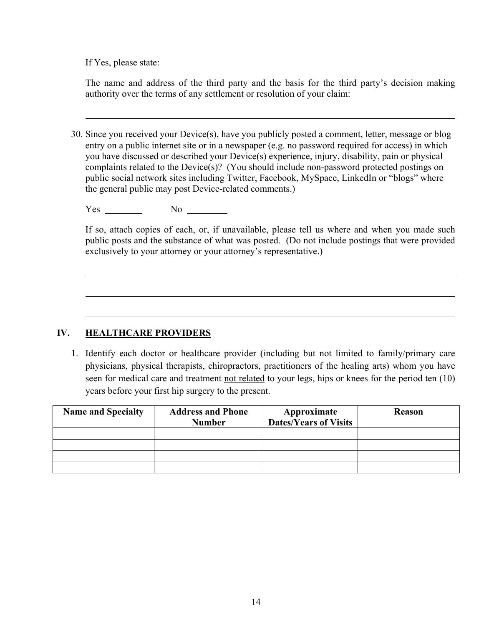If Yes, please state:

 $\overline{a}$ 

 $\overline{a}$ 

 $\overline{a}$ 

The name and address of the third party and the basis for the third party's decision making authority over the terms of any settlement or resolution of your claim:

30. Since you received your Device(s), have you publicly posted a comment, letter, message or blog entry on a public internet site or in a newspaper (e.g. no password required for access) in which you have discussed or described your Device(s) experience, injury, disability, pain or physical complaints related to the Device(s)? (You should include non-password protected postings on public social network sites including Twitter, Facebook, MySpace, LinkedIn or "blogs" where the general public may post Device-related comments.)

Yes No

If so, attach copies of each, or, if unavailable, please tell us where and when you made such public posts and the substance of what was posted. (Do not include postings that were provided exclusively to your attorney or your attorney's representative.)

## **IV. HEALTHCARE PROVIDERS**

 1. Identify each doctor or healthcare provider (including but not limited to family/primary care physicians, physical therapists, chiropractors, practitioners of the healing arts) whom you have seen for medical care and treatment not related to your legs, hips or knees for the period ten (10) years before your first hip surgery to the present.

| <b>Name and Specialty</b> | <b>Address and Phone</b><br><b>Number</b> | Approximate<br>Dates/Years of Visits | <b>Reason</b> |
|---------------------------|-------------------------------------------|--------------------------------------|---------------|
|                           |                                           |                                      |               |
|                           |                                           |                                      |               |
|                           |                                           |                                      |               |
|                           |                                           |                                      |               |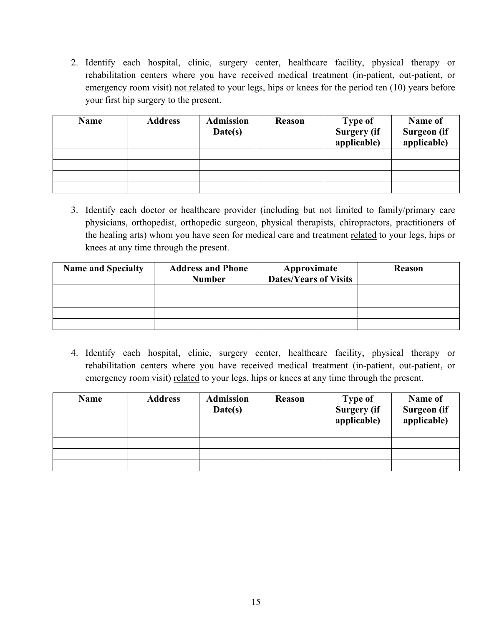2. Identify each hospital, clinic, surgery center, healthcare facility, physical therapy or rehabilitation centers where you have received medical treatment (in-patient, out-patient, or emergency room visit) not related to your legs, hips or knees for the period ten (10) years before your first hip surgery to the present.

| <b>Name</b> | <b>Address</b> | <b>Admission</b><br>Date(s) | <b>Reason</b> | <b>Type of</b><br><b>Surgery</b> (if<br>applicable) | Name of<br>Surgeon (if<br>applicable) |
|-------------|----------------|-----------------------------|---------------|-----------------------------------------------------|---------------------------------------|
|             |                |                             |               |                                                     |                                       |
|             |                |                             |               |                                                     |                                       |
|             |                |                             |               |                                                     |                                       |
|             |                |                             |               |                                                     |                                       |

 3. Identify each doctor or healthcare provider (including but not limited to family/primary care physicians, orthopedist, orthopedic surgeon, physical therapists, chiropractors, practitioners of the healing arts) whom you have seen for medical care and treatment related to your legs, hips or knees at any time through the present.

| <b>Name and Specialty</b> | <b>Address and Phone</b><br><b>Number</b> | Approximate<br><b>Dates/Years of Visits</b> | <b>Reason</b> |
|---------------------------|-------------------------------------------|---------------------------------------------|---------------|
|                           |                                           |                                             |               |
|                           |                                           |                                             |               |
|                           |                                           |                                             |               |
|                           |                                           |                                             |               |

 4. Identify each hospital, clinic, surgery center, healthcare facility, physical therapy or rehabilitation centers where you have received medical treatment (in-patient, out-patient, or emergency room visit) related to your legs, hips or knees at any time through the present.

| <b>Name</b> | <b>Address</b> | <b>Admission</b><br>Date(s) | <b>Reason</b> | <b>Type of</b><br><b>Surgery</b> (if<br>applicable) | Name of<br>Surgeon (if<br>applicable) |
|-------------|----------------|-----------------------------|---------------|-----------------------------------------------------|---------------------------------------|
|             |                |                             |               |                                                     |                                       |
|             |                |                             |               |                                                     |                                       |
|             |                |                             |               |                                                     |                                       |
|             |                |                             |               |                                                     |                                       |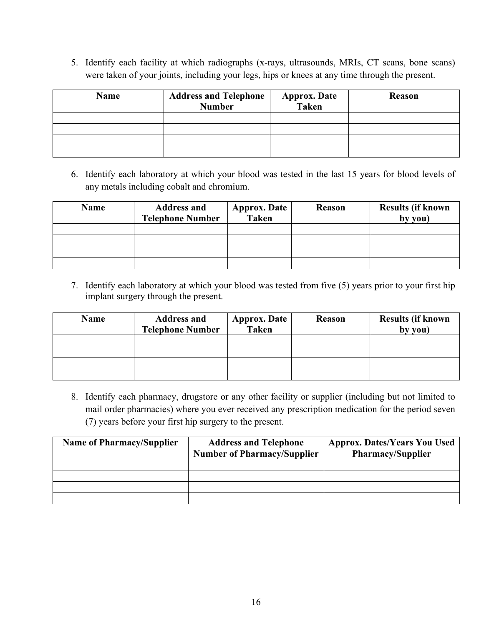5. Identify each facility at which radiographs (x-rays, ultrasounds, MRIs, CT scans, bone scans) were taken of your joints, including your legs, hips or knees at any time through the present.

| <b>Name</b> | <b>Address and Telephone</b><br><b>Number</b> | <b>Approx. Date</b><br><b>Taken</b> | Reason |
|-------------|-----------------------------------------------|-------------------------------------|--------|
|             |                                               |                                     |        |
|             |                                               |                                     |        |
|             |                                               |                                     |        |
|             |                                               |                                     |        |

 6. Identify each laboratory at which your blood was tested in the last 15 years for blood levels of any metals including cobalt and chromium.

| <b>Name</b> | <b>Address and</b><br><b>Telephone Number</b> | <b>Approx. Date</b><br><b>Taken</b> | Reason | <b>Results (if known</b><br>by you) |
|-------------|-----------------------------------------------|-------------------------------------|--------|-------------------------------------|
|             |                                               |                                     |        |                                     |
|             |                                               |                                     |        |                                     |
|             |                                               |                                     |        |                                     |
|             |                                               |                                     |        |                                     |

 7. Identify each laboratory at which your blood was tested from five (5) years prior to your first hip implant surgery through the present.

| <b>Name</b> | <b>Address and</b><br><b>Telephone Number</b> | <b>Approx. Date</b><br><b>Taken</b> | <b>Reason</b> | <b>Results (if known</b><br>by you) |
|-------------|-----------------------------------------------|-------------------------------------|---------------|-------------------------------------|
|             |                                               |                                     |               |                                     |
|             |                                               |                                     |               |                                     |
|             |                                               |                                     |               |                                     |
|             |                                               |                                     |               |                                     |

 8. Identify each pharmacy, drugstore or any other facility or supplier (including but not limited to mail order pharmacies) where you ever received any prescription medication for the period seven (7) years before your first hip surgery to the present.

| <b>Name of Pharmacy/Supplier</b> | <b>Address and Telephone</b>       | <b>Approx. Dates/Years You Used</b> |
|----------------------------------|------------------------------------|-------------------------------------|
|                                  | <b>Number of Pharmacy/Supplier</b> | <b>Pharmacy/Supplier</b>            |
|                                  |                                    |                                     |
|                                  |                                    |                                     |
|                                  |                                    |                                     |
|                                  |                                    |                                     |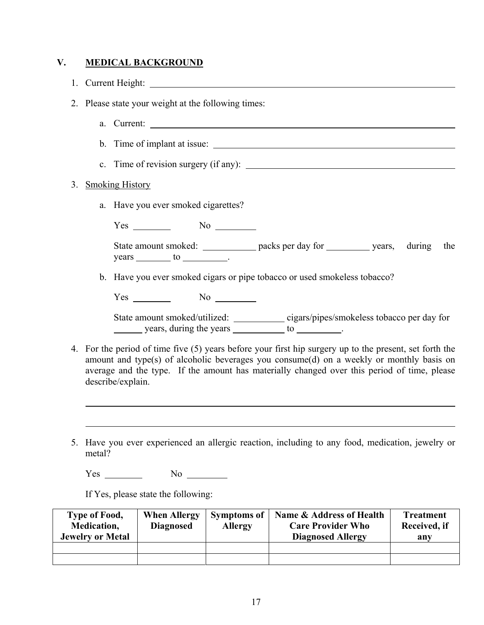## **V. MEDICAL BACKGROUND**

1. Current Height:

2. Please state your weight at the following times:

- a. Current:
- b. Time of implant at issue:
- c. Time of revision surgery (if any):

### 3. Smoking History

 $\overline{a}$ 

 $\overline{a}$ 

a. Have you ever smoked cigarettes?

Yes No

State amount smoked: \_\_\_\_\_\_\_\_\_\_\_\_ packs per day for \_\_\_\_\_\_\_\_\_ years, during the years to .

b. Have you ever smoked cigars or pipe tobacco or used smokeless tobacco?

Yes No

State amount smoked/utilized: cigars/pipes/smokeless tobacco per day for  $\frac{\ }{\ }$  years, during the years  $\frac{\ }{\ }$  to  $\frac{\ }{\ }$ .

- 4. For the period of time five (5) years before your first hip surgery up to the present, set forth the amount and type(s) of alcoholic beverages you consume(d) on a weekly or monthly basis on average and the type. If the amount has materially changed over this period of time, please describe/explain.
- 5. Have you ever experienced an allergic reaction, including to any food, medication, jewelry or metal?

Yes No

If Yes, please state the following:

| Type of Food,<br>Medication,<br><b>Jewelry or Metal</b> | <b>When Allergy</b><br><b>Diagnosed</b> | <b>Symptoms of</b><br><b>Allergy</b> | Name & Address of Health<br><b>Care Provider Who</b><br><b>Diagnosed Allergy</b> | <b>Treatment</b><br>Received, if<br>anv |
|---------------------------------------------------------|-----------------------------------------|--------------------------------------|----------------------------------------------------------------------------------|-----------------------------------------|
|                                                         |                                         |                                      |                                                                                  |                                         |
|                                                         |                                         |                                      |                                                                                  |                                         |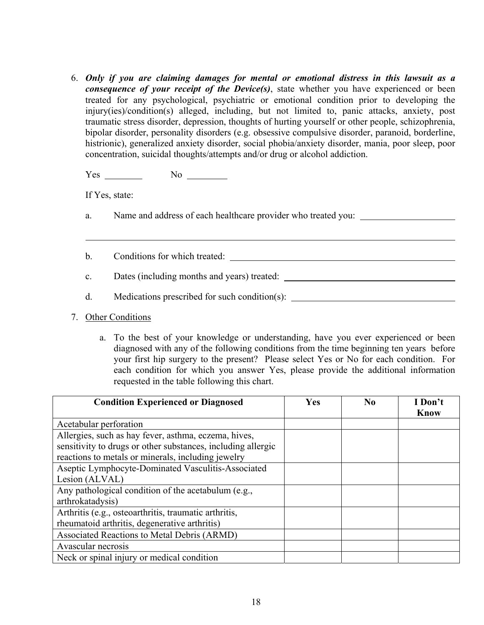6. *Only if you are claiming damages for mental or emotional distress in this lawsuit as a consequence of your receipt of the Device(s)*, state whether you have experienced or been treated for any psychological, psychiatric or emotional condition prior to developing the injury(ies)/condition(s) alleged, including, but not limited to, panic attacks, anxiety, post traumatic stress disorder, depression, thoughts of hurting yourself or other people, schizophrenia, bipolar disorder, personality disorders (e.g. obsessive compulsive disorder, paranoid, borderline, histrionic), generalized anxiety disorder, social phobia/anxiety disorder, mania, poor sleep, poor concentration, suicidal thoughts/attempts and/or drug or alcohol addiction.

Yes No

If Yes, state:

 $\overline{a}$ 

- a. Name and address of each healthcare provider who treated you:
- b. Conditions for which treated:
- c. Dates (including months and years) treated:
- d. Medications prescribed for such condition(s):
- 7. Other Conditions
	- a. To the best of your knowledge or understanding, have you ever experienced or been diagnosed with any of the following conditions from the time beginning ten years before your first hip surgery to the present? Please select Yes or No for each condition. For each condition for which you answer Yes, please provide the additional information requested in the table following this chart.

| <b>Condition Experienced or Diagnosed</b>                    | Yes | N <sub>0</sub> | I Don't<br><b>Know</b> |
|--------------------------------------------------------------|-----|----------------|------------------------|
| Acetabular perforation                                       |     |                |                        |
| Allergies, such as hay fever, asthma, eczema, hives,         |     |                |                        |
| sensitivity to drugs or other substances, including allergic |     |                |                        |
| reactions to metals or minerals, including jewelry           |     |                |                        |
| Aseptic Lymphocyte-Dominated Vasculitis-Associated           |     |                |                        |
| Lesion (ALVAL)                                               |     |                |                        |
| Any pathological condition of the acetabulum (e.g.,          |     |                |                        |
| arthrokatadysis)                                             |     |                |                        |
| Arthritis (e.g., osteoarthritis, traumatic arthritis,        |     |                |                        |
| rheumatoid arthritis, degenerative arthritis)                |     |                |                        |
| Associated Reactions to Metal Debris (ARMD)                  |     |                |                        |
| Avascular necrosis                                           |     |                |                        |
| Neck or spinal injury or medical condition                   |     |                |                        |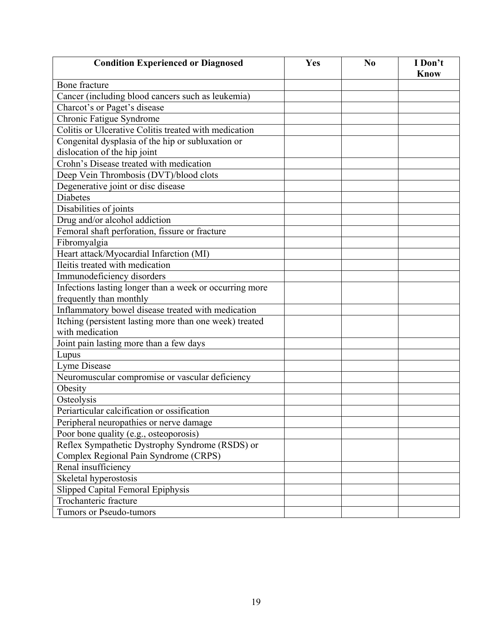| <b>Condition Experienced or Diagnosed</b>                                  | Yes | N <sub>0</sub> | I Don't<br><b>Know</b> |
|----------------------------------------------------------------------------|-----|----------------|------------------------|
| Bone fracture                                                              |     |                |                        |
| Cancer (including blood cancers such as leukemia)                          |     |                |                        |
| Charcot's or Paget's disease                                               |     |                |                        |
| Chronic Fatigue Syndrome                                                   |     |                |                        |
| Colitis or Ulcerative Colitis treated with medication                      |     |                |                        |
| Congenital dysplasia of the hip or subluxation or                          |     |                |                        |
| dislocation of the hip joint                                               |     |                |                        |
| Crohn's Disease treated with medication                                    |     |                |                        |
| Deep Vein Thrombosis (DVT)/blood clots                                     |     |                |                        |
| Degenerative joint or disc disease                                         |     |                |                        |
| <b>Diabetes</b>                                                            |     |                |                        |
| Disabilities of joints                                                     |     |                |                        |
| Drug and/or alcohol addiction                                              |     |                |                        |
| Femoral shaft perforation, fissure or fracture                             |     |                |                        |
| Fibromyalgia                                                               |     |                |                        |
| Heart attack/Myocardial Infarction (MI)                                    |     |                |                        |
| Ileitis treated with medication                                            |     |                |                        |
| Immunodeficiency disorders                                                 |     |                |                        |
| Infections lasting longer than a week or occurring more                    |     |                |                        |
| frequently than monthly                                                    |     |                |                        |
| Inflammatory bowel disease treated with medication                         |     |                |                        |
| Itching (persistent lasting more than one week) treated<br>with medication |     |                |                        |
| Joint pain lasting more than a few days                                    |     |                |                        |
| Lupus                                                                      |     |                |                        |
| Lyme Disease                                                               |     |                |                        |
| Neuromuscular compromise or vascular deficiency                            |     |                |                        |
| Obesity                                                                    |     |                |                        |
| Osteolysis                                                                 |     |                |                        |
| Periarticular calcification or ossification                                |     |                |                        |
| Peripheral neuropathies or nerve damage                                    |     |                |                        |
| Poor bone quality (e.g., osteoporosis)                                     |     |                |                        |
| Reflex Sympathetic Dystrophy Syndrome (RSDS) or                            |     |                |                        |
| Complex Regional Pain Syndrome (CRPS)                                      |     |                |                        |
| Renal insufficiency                                                        |     |                |                        |
| Skeletal hyperostosis                                                      |     |                |                        |
| Slipped Capital Femoral Epiphysis                                          |     |                |                        |
| Trochanteric fracture                                                      |     |                |                        |
| Tumors or Pseudo-tumors                                                    |     |                |                        |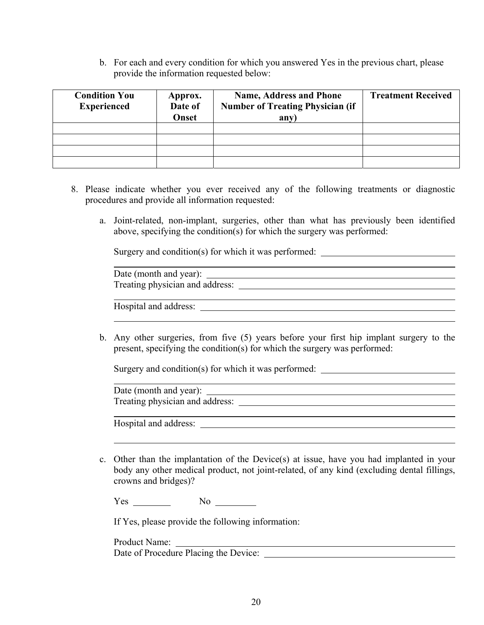b. For each and every condition for which you answered Yes in the previous chart, please provide the information requested below:

| <b>Condition You</b><br><b>Experienced</b> | Approx.<br>Date of<br>Onset | <b>Name, Address and Phone</b><br><b>Number of Treating Physician (if</b><br>an <sub>V</sub> | <b>Treatment Received</b> |
|--------------------------------------------|-----------------------------|----------------------------------------------------------------------------------------------|---------------------------|
|                                            |                             |                                                                                              |                           |
|                                            |                             |                                                                                              |                           |
|                                            |                             |                                                                                              |                           |
|                                            |                             |                                                                                              |                           |

- 8. Please indicate whether you ever received any of the following treatments or diagnostic procedures and provide all information requested:
	- a. Joint-related, non-implant, surgeries, other than what has previously been identified above, specifying the condition(s) for which the surgery was performed:

Surgery and condition(s) for which it was performed:

| Date (month and year):          |  |
|---------------------------------|--|
| Treating physician and address: |  |

Hospital and address:

 b. Any other surgeries, from five (5) years before your first hip implant surgery to the present, specifying the condition(s) for which the surgery was performed:

Surgery and condition(s) for which it was performed: \_\_\_\_\_\_\_\_\_\_\_\_\_\_\_\_\_\_\_\_\_\_\_\_\_\_\_

 Date (month and year): Treating physician and address:

Hospital and address:

 c. Other than the implantation of the Device(s) at issue, have you had implanted in your body any other medical product, not joint-related, of any kind (excluding dental fillings, crowns and bridges)?

 $Yes \_\_$  No  $\_\_$ 

If Yes, please provide the following information:

 Product Name: <u> 1980 - Johann Barn, mars ann an t-Amhain Aonaich an t-Aonaich an t-Aonaich ann an t-Aonaich ann an t-Aonaich</u> Date of Procedure Placing the Device: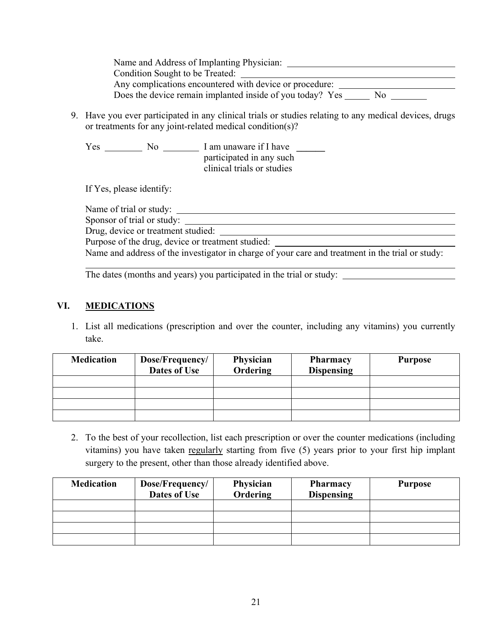| Name and Address of Implanting Physician: |                                                                 |  |
|-------------------------------------------|-----------------------------------------------------------------|--|
| Condition Sought to be Treated:           |                                                                 |  |
|                                           | Any complications encountered with device or procedure:         |  |
|                                           | Does the device remain implanted inside of you today? Yes<br>No |  |

9. Have you ever participated in any clinical trials or studies relating to any medical devices, drugs or treatments for any joint-related medical condition(s)?

Yes <u>No I am unaware if I have No I am unaware if I have</u> participated in any such clinical trials or studies

If Yes, please identify:

Name of trial or study:

Sponsor of trial or study:

Drug, device or treatment studied:

Purpose of the drug, device or treatment studied:

Name and address of the investigator in charge of your care and treatment in the trial or study:

The dates (months and years) you participated in the trial or study:

# **VI. MEDICATIONS**

 $\overline{a}$ 

 1. List all medications (prescription and over the counter, including any vitamins) you currently take.

| <b>Medication</b> | Dose/Frequency/<br>Dates of Use | Physician<br>Ordering | <b>Pharmacy</b><br><b>Dispensing</b> | <b>Purpose</b> |
|-------------------|---------------------------------|-----------------------|--------------------------------------|----------------|
|                   |                                 |                       |                                      |                |
|                   |                                 |                       |                                      |                |
|                   |                                 |                       |                                      |                |
|                   |                                 |                       |                                      |                |

 2. To the best of your recollection, list each prescription or over the counter medications (including vitamins) you have taken regularly starting from five (5) years prior to your first hip implant surgery to the present, other than those already identified above.

| <b>Medication</b> | Dose/Frequency/<br>Dates of Use | Physician<br>Ordering | <b>Pharmacy</b><br><b>Dispensing</b> | <b>Purpose</b> |
|-------------------|---------------------------------|-----------------------|--------------------------------------|----------------|
|                   |                                 |                       |                                      |                |
|                   |                                 |                       |                                      |                |
|                   |                                 |                       |                                      |                |
|                   |                                 |                       |                                      |                |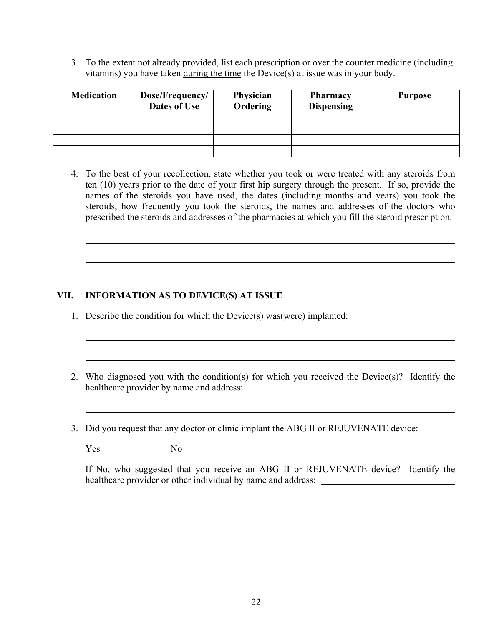3. To the extent not already provided, list each prescription or over the counter medicine (including vitamins) you have taken during the time the Device(s) at issue was in your body.

| <b>Medication</b> | Dose/Frequency/<br>Dates of Use | Physician<br>Ordering | <b>Pharmacy</b><br><b>Dispensing</b> | <b>Purpose</b> |
|-------------------|---------------------------------|-----------------------|--------------------------------------|----------------|
|                   |                                 |                       |                                      |                |
|                   |                                 |                       |                                      |                |
|                   |                                 |                       |                                      |                |
|                   |                                 |                       |                                      |                |

 4. To the best of your recollection, state whether you took or were treated with any steroids from ten (10) years prior to the date of your first hip surgery through the present. If so, provide the names of the steroids you have used, the dates (including months and years) you took the steroids, how frequently you took the steroids, the names and addresses of the doctors who prescribed the steroids and addresses of the pharmacies at which you fill the steroid prescription.

# **VII. INFORMATION AS TO DEVICE(S) AT ISSUE**

- 1. Describe the condition for which the Device(s) was(were) implanted:
- 2. Who diagnosed you with the condition(s) for which you received the Device(s)? Identify the healthcare provider by name and address:
- 3. Did you request that any doctor or clinic implant the ABG II or REJUVENATE device:

Yes No

 $\overline{a}$ 

 $\overline{a}$ 

 $\overline{a}$ 

 $\overline{a}$ 

If No, who suggested that you receive an ABG II or REJUVENATE device? Identify the healthcare provider or other individual by name and address: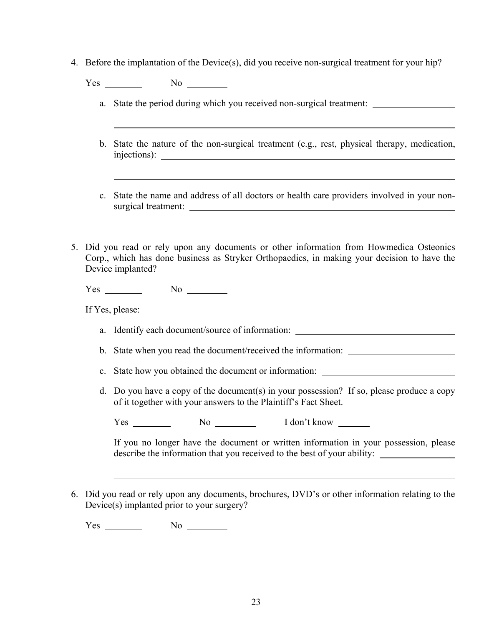- 4. Before the implantation of the Device(s), did you receive non-surgical treatment for your hip?
	- Yes No
		- a. State the period during which you received non-surgical treatment:
		- b. State the nature of the non-surgical treatment (e.g., rest, physical therapy, medication, injections):
		- c. State the name and address of all doctors or health care providers involved in your nonsurgical treatment:
- 5. Did you read or rely upon any documents or other information from Howmedica Osteonics Corp., which has done business as Stryker Orthopaedics, in making your decision to have the Device implanted?

Yes No No No

If Yes, please:

- a. Identify each document/source of information:
- b. State when you read the document/received the information:
- c. State how you obtained the document or information:
- d. Do you have a copy of the document(s) in your possession? If so, please produce a copy of it together with your answers to the Plaintiff's Fact Sheet.

Yes No I don't know

 If you no longer have the document or written information in your possession, please describe the information that you received to the best of your ability:

6. Did you read or rely upon any documents, brochures, DVD's or other information relating to the Device(s) implanted prior to your surgery?

Yes No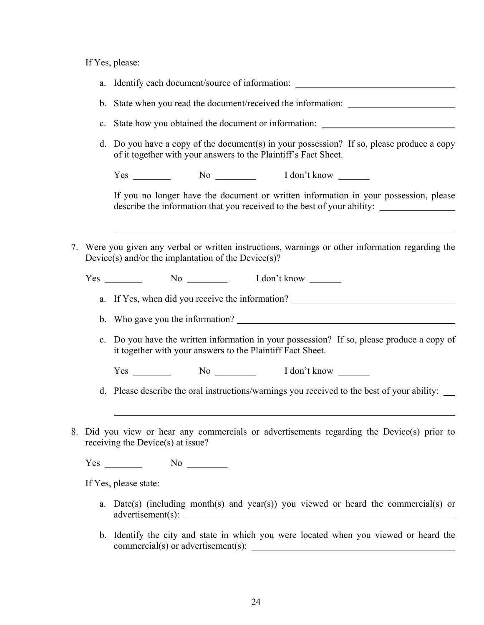If Yes, please:

|                | a. Identify each document/source of information: _______________________________                                                                                                                                                                       |
|----------------|--------------------------------------------------------------------------------------------------------------------------------------------------------------------------------------------------------------------------------------------------------|
|                | b. State when you read the document/received the information: ___________________                                                                                                                                                                      |
| $\mathbf{c}$ . | State how you obtained the document or information: ____________________________                                                                                                                                                                       |
| d.             | Do you have a copy of the document(s) in your possession? If so, please produce a copy<br>of it together with your answers to the Plaintiff's Fact Sheet.                                                                                              |
|                | Yes No No I don't know                                                                                                                                                                                                                                 |
|                | If you no longer have the document or written information in your possession, please<br>describe the information that you received to the best of your ability:                                                                                        |
|                | 7. Were you given any verbal or written instructions, warnings or other information regarding the<br>Device(s) and/or the implantation of the Device(s)?                                                                                               |
|                | Yes No No I don't know                                                                                                                                                                                                                                 |
|                | a. If Yes, when did you receive the information? ________________________________                                                                                                                                                                      |
|                |                                                                                                                                                                                                                                                        |
|                | c. Do you have the written information in your possession? If so, please produce a copy of<br>it together with your answers to the Plaintiff Fact Sheet.                                                                                               |
|                | Yes No No I don't know                                                                                                                                                                                                                                 |
|                | d. Please describe the oral instructions/warnings you received to the best of your ability: __                                                                                                                                                         |
|                | Did you view or hear any commercials or advertisements regarding the Device(s) prior to<br>receiving the Device $(s)$ at issue?                                                                                                                        |
|                | $Yes \_$ No $\_$                                                                                                                                                                                                                                       |
|                | If Yes, please state:                                                                                                                                                                                                                                  |
|                | a. Date(s) (including month(s) and year(s)) you viewed or heard the commercial(s) or                                                                                                                                                                   |
|                | b. Identify the city and state in which you were located when you viewed or heard the<br>$commercial(s)$ or advertisement(s):<br><u> 1989 - Johann Barbara, martin amerikan basal dan berasal dan berasal dalam basal dalam basal dalam basal dala</u> |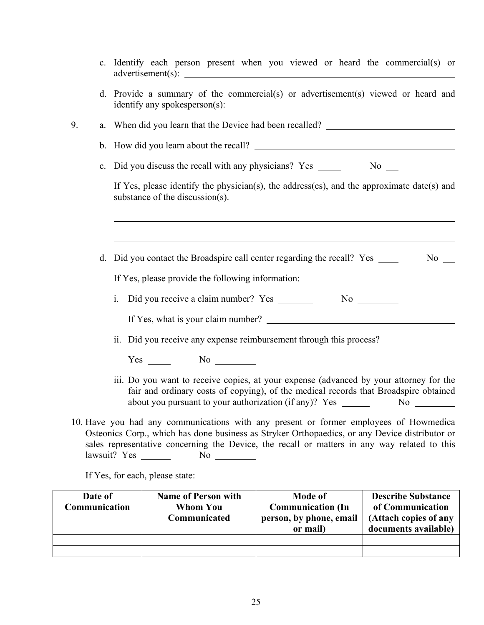|    | c. Identify each person present when you viewed or heard the commercial(s) or                                                                                                                                                                                                           |
|----|-----------------------------------------------------------------------------------------------------------------------------------------------------------------------------------------------------------------------------------------------------------------------------------------|
|    | d. Provide a summary of the commercial(s) or advertisement(s) viewed or heard and                                                                                                                                                                                                       |
| 9. | a. When did you learn that the Device had been recalled?                                                                                                                                                                                                                                |
|    | b. How did you learn about the recall?                                                                                                                                                                                                                                                  |
|    | c. Did you discuss the recall with any physicians? Yes ______<br>No No                                                                                                                                                                                                                  |
|    | If Yes, please identify the physician(s), the address(es), and the approximate date(s) and<br>substance of the discussion(s).                                                                                                                                                           |
|    |                                                                                                                                                                                                                                                                                         |
|    | d. Did you contact the Broadspire call center regarding the recall? Yes ________<br>$No \_$                                                                                                                                                                                             |
|    | If Yes, please provide the following information:                                                                                                                                                                                                                                       |
|    | Did you receive a claim number? Yes ________<br>$\mathbf{i}$ .                                                                                                                                                                                                                          |
|    |                                                                                                                                                                                                                                                                                         |
|    | ii. Did you receive any expense reimbursement through this process?                                                                                                                                                                                                                     |
|    | Yes                                                                                                                                                                                                                                                                                     |
|    | iii. Do you want to receive copies, at your expense (advanced by your attorney for the<br>fair and ordinary costs of copying), of the medical records that Broadspire obtained<br>about you pursuant to your authorization (if any)? Yes ______<br>$No \ \ \$                           |
|    | 10. Have you had any communications with any present or former employees of Howmedica<br>Osteonics Corp., which has done business as Stryker Orthopaedics, or any Device distributor or<br>sales representative concerning the Device, the recall or matters in any way related to this |
|    | If Yes, for each, please state:                                                                                                                                                                                                                                                         |

| Date of<br>Communication | <b>Name of Person with</b><br><b>Whom You</b><br>Communicated | <b>Mode of</b><br><b>Communication</b> (In<br>person, by phone, email<br>or mail) | <b>Describe Substance</b><br>of Communication<br>(Attach copies of any<br>documents available) |
|--------------------------|---------------------------------------------------------------|-----------------------------------------------------------------------------------|------------------------------------------------------------------------------------------------|
|                          |                                                               |                                                                                   |                                                                                                |
|                          |                                                               |                                                                                   |                                                                                                |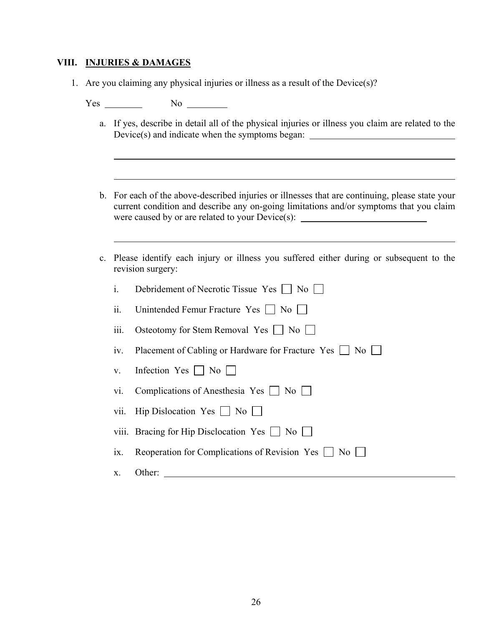### **VIII. INJURIES & DAMAGES**

1. Are you claiming any physical injuries or illness as a result of the Device(s)?

Yes No

- a. If yes, describe in detail all of the physical injuries or illness you claim are related to the Device(s) and indicate when the symptoms began:
- b. For each of the above-described injuries or illnesses that are continuing, please state your current condition and describe any on-going limitations and/or symptoms that you claim were caused by or are related to your Device(s):
- c. Please identify each injury or illness you suffered either during or subsequent to the revision surgery:

| $\mathbf{i}$ .  |                                                          |
|-----------------|----------------------------------------------------------|
|                 | Debridement of Necrotic Tissue Yes     No                |
| ii.             | Unintended Femur Fracture Yes     No                     |
| 111.            | Osteotomy for Stem Removal Yes     No                    |
| 1V <sub>1</sub> | Placement of Cabling or Hardware for Fracture Yes     No |
| $V_{\rm{L}}$    | Infection Yes No                                         |
| V1.             | Complications of Anesthesia Yes $\Box$ No $\Box$         |
|                 | vii. Hip Dislocation Yes $\vert$   No                    |
|                 | viii. Bracing for Hip Disclocation Yes $\Box$ No $\Box$  |
| 1X.             | Reoperation for Complications of Revision Yes $\Box$ No  |
| X.              | Other:                                                   |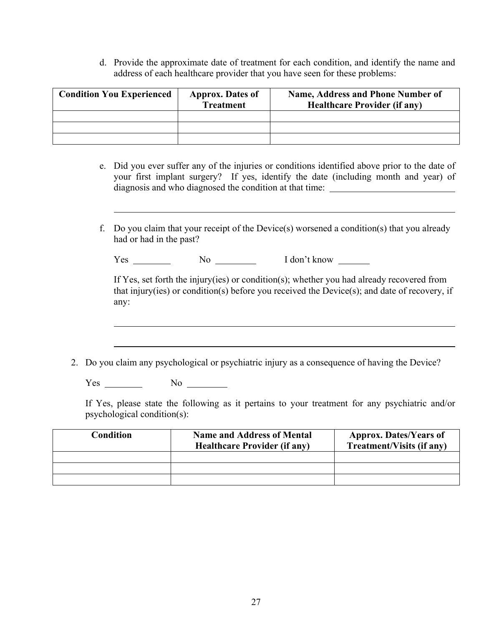d. Provide the approximate date of treatment for each condition, and identify the name and address of each healthcare provider that you have seen for these problems:

| <b>Condition You Experienced</b> | <b>Approx.</b> Dates of<br><b>Treatment</b> | Name, Address and Phone Number of<br><b>Healthcare Provider (if any)</b> |
|----------------------------------|---------------------------------------------|--------------------------------------------------------------------------|
|                                  |                                             |                                                                          |
|                                  |                                             |                                                                          |
|                                  |                                             |                                                                          |

- e. Did you ever suffer any of the injuries or conditions identified above prior to the date of your first implant surgery? If yes, identify the date (including month and year) of diagnosis and who diagnosed the condition at that time:
- f. Do you claim that your receipt of the Device(s) worsened a condition(s) that you already had or had in the past?

| I don't know<br>r es<br>N0 |  |
|----------------------------|--|
|----------------------------|--|

 If Yes, set forth the injury(ies) or condition(s); whether you had already recovered from that injury(ies) or condition(s) before you received the Device(s); and date of recovery, if any:

2. Do you claim any psychological or psychiatric injury as a consequence of having the Device?

Yes No

If Yes, please state the following as it pertains to your treatment for any psychiatric and/or psychological condition(s):

| Condition | <b>Name and Address of Mental</b><br><b>Healthcare Provider (if any)</b> | <b>Approx. Dates/Years of</b><br><b>Treatment/Visits (if any)</b> |
|-----------|--------------------------------------------------------------------------|-------------------------------------------------------------------|
|           |                                                                          |                                                                   |
|           |                                                                          |                                                                   |
|           |                                                                          |                                                                   |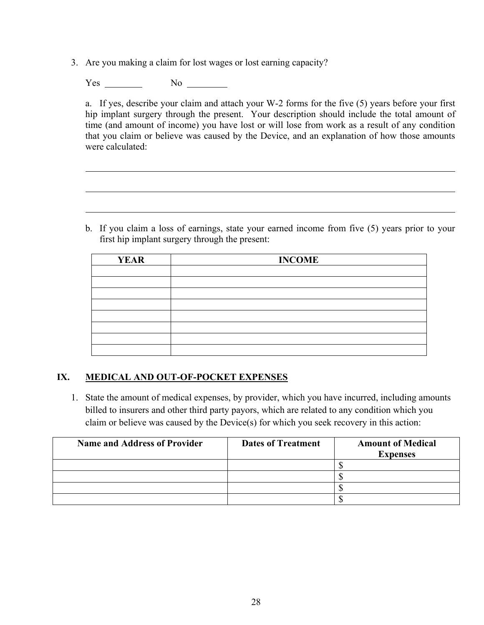3. Are you making a claim for lost wages or lost earning capacity?

Yes No

 $\overline{a}$ 

 $\overline{a}$ 

a. If yes, describe your claim and attach your W-2 forms for the five (5) years before your first hip implant surgery through the present. Your description should include the total amount of time (and amount of income) you have lost or will lose from work as a result of any condition that you claim or believe was caused by the Device, and an explanation of how those amounts were calculated:

 b. If you claim a loss of earnings, state your earned income from five (5) years prior to your first hip implant surgery through the present:

| <b>YEAR</b> | <b>INCOME</b> |
|-------------|---------------|
|             |               |
|             |               |
|             |               |
|             |               |
|             |               |
|             |               |
|             |               |
|             |               |

## **IX. MEDICAL AND OUT-OF-POCKET EXPENSES**

 1. State the amount of medical expenses, by provider, which you have incurred, including amounts billed to insurers and other third party payors, which are related to any condition which you claim or believe was caused by the Device(s) for which you seek recovery in this action:

| <b>Name and Address of Provider</b> | <b>Dates of Treatment</b> | <b>Amount of Medical</b><br><b>Expenses</b> |
|-------------------------------------|---------------------------|---------------------------------------------|
|                                     |                           |                                             |
|                                     |                           |                                             |
|                                     |                           |                                             |
|                                     |                           |                                             |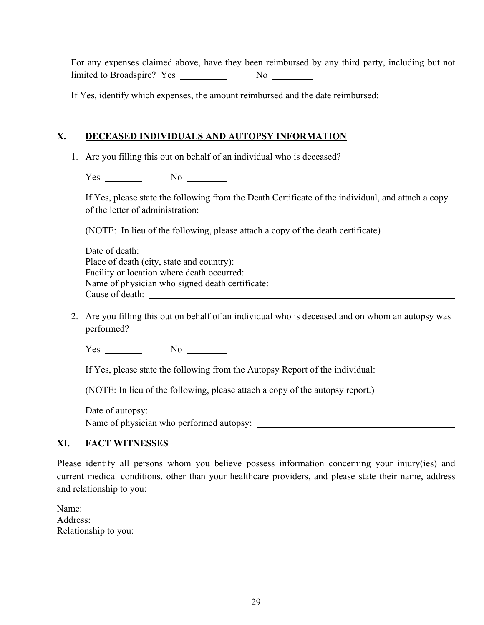For any expenses claimed above, have they been reimbursed by any third party, including but not limited to Broadspire? Yes No

If Yes, identify which expenses, the amount reimbursed and the date reimbursed:

## **X. DECEASED INDIVIDUALS AND AUTOPSY INFORMATION**

1. Are you filling this out on behalf of an individual who is deceased?

Yes No

 If Yes, please state the following from the Death Certificate of the individual, and attach a copy of the letter of administration:

(NOTE: In lieu of the following, please attach a copy of the death certificate)

| Date of death:                                  |  |
|-------------------------------------------------|--|
| Place of death (city, state and country):       |  |
| Facility or location where death occurred:      |  |
| Name of physician who signed death certificate: |  |
| Cause of death:                                 |  |

 2. Are you filling this out on behalf of an individual who is deceased and on whom an autopsy was performed?

 $Yes \_$  No  $\_$ 

If Yes, please state the following from the Autopsy Report of the individual:

(NOTE: In lieu of the following, please attach a copy of the autopsy report.)

Date of autopsy:

Name of physician who performed autopsy:

# **XI. FACT WITNESSES**

Please identify all persons whom you believe possess information concerning your injury(ies) and current medical conditions, other than your healthcare providers, and please state their name, address and relationship to you:

| Name:                |
|----------------------|
| Address:             |
| Relationship to you: |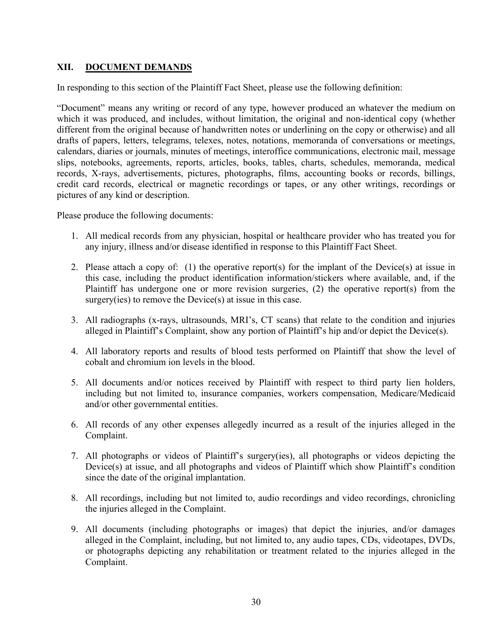# **XII. DOCUMENT DEMANDS**

In responding to this section of the Plaintiff Fact Sheet, please use the following definition:

"Document" means any writing or record of any type, however produced an whatever the medium on which it was produced, and includes, without limitation, the original and non-identical copy (whether different from the original because of handwritten notes or underlining on the copy or otherwise) and all drafts of papers, letters, telegrams, telexes, notes, notations, memoranda of conversations or meetings, calendars, diaries or journals, minutes of meetings, interoffice communications, electronic mail, message slips, notebooks, agreements, reports, articles, books, tables, charts, schedules, memoranda, medical records, X-rays, advertisements, pictures, photographs, films, accounting books or records, billings, credit card records, electrical or magnetic recordings or tapes, or any other writings, recordings or pictures of any kind or description.

Please produce the following documents:

- 1. All medical records from any physician, hospital or healthcare provider who has treated you for any injury, illness and/or disease identified in response to this Plaintiff Fact Sheet.
- 2. Please attach a copy of: (1) the operative report(s) for the implant of the Device(s) at issue in this case, including the product identification information/stickers where available, and, if the Plaintiff has undergone one or more revision surgeries, (2) the operative report(s) from the surgery(ies) to remove the Device(s) at issue in this case.
- 3. All radiographs (x-rays, ultrasounds, MRI's, CT scans) that relate to the condition and injuries alleged in Plaintiff's Complaint, show any portion of Plaintiff's hip and/or depict the Device(s).
- 4. All laboratory reports and results of blood tests performed on Plaintiff that show the level of cobalt and chromium ion levels in the blood.
- 5. All documents and/or notices received by Plaintiff with respect to third party lien holders, including but not limited to, insurance companies, workers compensation, Medicare/Medicaid and/or other governmental entities.
- 6. All records of any other expenses allegedly incurred as a result of the injuries alleged in the Complaint.
- 7. All photographs or videos of Plaintiff's surgery(ies), all photographs or videos depicting the Device(s) at issue, and all photographs and videos of Plaintiff which show Plaintiff's condition since the date of the original implantation.
- 8. All recordings, including but not limited to, audio recordings and video recordings, chronicling the injuries alleged in the Complaint.
- 9. All documents (including photographs or images) that depict the injuries, and/or damages alleged in the Complaint, including, but not limited to, any audio tapes, CDs, videotapes, DVDs, or photographs depicting any rehabilitation or treatment related to the injuries alleged in the Complaint.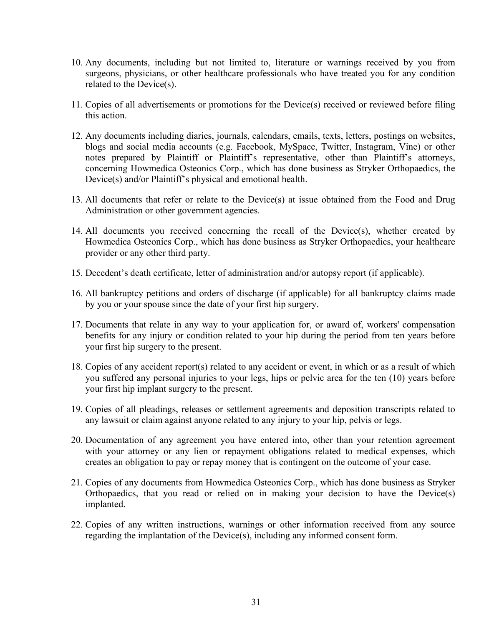- 10. Any documents, including but not limited to, literature or warnings received by you from surgeons, physicians, or other healthcare professionals who have treated you for any condition related to the Device(s).
- 11. Copies of all advertisements or promotions for the Device(s) received or reviewed before filing this action.
- 12. Any documents including diaries, journals, calendars, emails, texts, letters, postings on websites, blogs and social media accounts (e.g. Facebook, MySpace, Twitter, Instagram, Vine) or other notes prepared by Plaintiff or Plaintiff's representative, other than Plaintiff's attorneys, concerning Howmedica Osteonics Corp., which has done business as Stryker Orthopaedics, the Device(s) and/or Plaintiff's physical and emotional health.
- 13. All documents that refer or relate to the Device(s) at issue obtained from the Food and Drug Administration or other government agencies.
- 14. All documents you received concerning the recall of the Device(s), whether created by Howmedica Osteonics Corp., which has done business as Stryker Orthopaedics, your healthcare provider or any other third party.
- 15. Decedent's death certificate, letter of administration and/or autopsy report (if applicable).
- 16. All bankruptcy petitions and orders of discharge (if applicable) for all bankruptcy claims made by you or your spouse since the date of your first hip surgery.
- 17. Documents that relate in any way to your application for, or award of, workers' compensation benefits for any injury or condition related to your hip during the period from ten years before your first hip surgery to the present.
- 18. Copies of any accident report(s) related to any accident or event, in which or as a result of which you suffered any personal injuries to your legs, hips or pelvic area for the ten (10) years before your first hip implant surgery to the present.
- 19. Copies of all pleadings, releases or settlement agreements and deposition transcripts related to any lawsuit or claim against anyone related to any injury to your hip, pelvis or legs.
- 20. Documentation of any agreement you have entered into, other than your retention agreement with your attorney or any lien or repayment obligations related to medical expenses, which creates an obligation to pay or repay money that is contingent on the outcome of your case.
- 21. Copies of any documents from Howmedica Osteonics Corp., which has done business as Stryker Orthopaedics, that you read or relied on in making your decision to have the Device(s) implanted.
- 22. Copies of any written instructions, warnings or other information received from any source regarding the implantation of the Device(s), including any informed consent form.